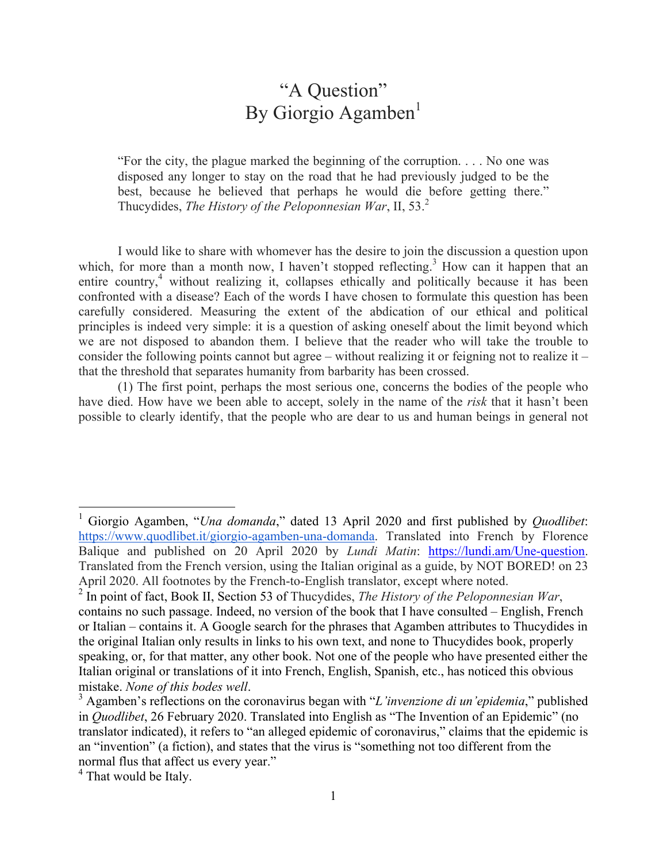## "A Question" By Giorgio Agamben $<sup>1</sup>$ </sup>

"For the city, the plague marked the beginning of the corruption. . . . No one was disposed any longer to stay on the road that he had previously judged to be the best, because he believed that perhaps he would die before getting there." Thucydides, *The History of the Peloponnesian War*, II, 53.<sup>2</sup>

I would like to share with whomever has the desire to join the discussion a question upon which, for more than a month now, I haven't stopped reflecting.<sup>3</sup> How can it happen that an entire country,<sup>4</sup> without realizing it, collapses ethically and politically because it has been confronted with a disease? Each of the words I have chosen to formulate this question has been carefully considered. Measuring the extent of the abdication of our ethical and political principles is indeed very simple: it is a question of asking oneself about the limit beyond which we are not disposed to abandon them. I believe that the reader who will take the trouble to consider the following points cannot but agree – without realizing it or feigning not to realize it – that the threshold that separates humanity from barbarity has been crossed.

(1) The first point, perhaps the most serious one, concerns the bodies of the people who have died. How have we been able to accept, solely in the name of the *risk* that it hasn't been possible to clearly identify, that the people who are dear to us and human beings in general not

 $\frac{1}{1}$  Giorgio Agamben, "*Una domanda*," dated 13 April 2020 and first published by *Quodlibet*: https://www.quodlibet.it/giorgio-agamben-una-domanda. Translated into French by Florence Balique and published on 20 April 2020 by *Lundi Matin*: https://lundi.am/Une-question. Translated from the French version, using the Italian original as a guide, by NOT BORED! on 23 April 2020. All footnotes by the French-to-English translator, except where noted.

<sup>2</sup> In point of fact, Book II, Section 53 of Thucydides, *The History of the Peloponnesian War*, contains no such passage. Indeed, no version of the book that I have consulted – English, French or Italian – contains it. A Google search for the phrases that Agamben attributes to Thucydides in the original Italian only results in links to his own text, and none to Thucydides book, properly speaking, or, for that matter, any other book. Not one of the people who have presented either the Italian original or translations of it into French, English, Spanish, etc., has noticed this obvious mistake. *None of this bodes well*. <sup>3</sup>

Agamben's reflections on the coronavirus began with "*L'invenzione di un'epidemia*," published in *Quodlibet*, 26 February 2020. Translated into English as "The Invention of an Epidemic" (no translator indicated), it refers to "an alleged epidemic of coronavirus," claims that the epidemic is an "invention" (a fiction), and states that the virus is "something not too different from the normal flus that affect us every year."

<sup>&</sup>lt;sup>4</sup> That would be Italy.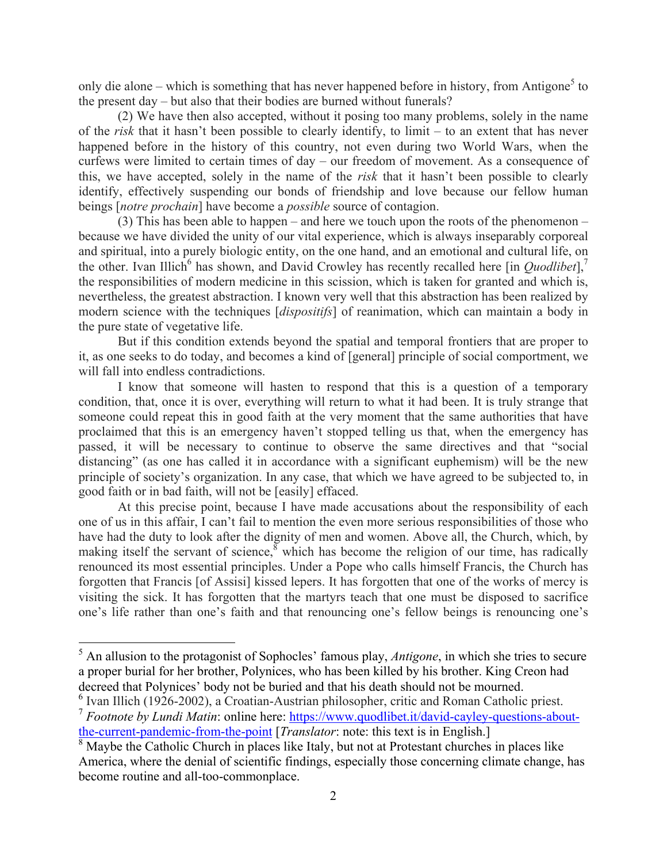only die alone – which is something that has never happened before in history, from Antigone<sup>5</sup> to the present day – but also that their bodies are burned without funerals?

(2) We have then also accepted, without it posing too many problems, solely in the name of the *risk* that it hasn't been possible to clearly identify, to limit – to an extent that has never happened before in the history of this country, not even during two World Wars, when the curfews were limited to certain times of day – our freedom of movement. As a consequence of this, we have accepted, solely in the name of the *risk* that it hasn't been possible to clearly identify, effectively suspending our bonds of friendship and love because our fellow human beings [*notre prochain*] have become a *possible* source of contagion.

(3) This has been able to happen – and here we touch upon the roots of the phenomenon – because we have divided the unity of our vital experience, which is always inseparably corporeal and spiritual, into a purely biologic entity, on the one hand, and an emotional and cultural life, on the other. Ivan Illich<sup>6</sup> has shown, and David Crowley has recently recalled here [in *Quodlibet*],<sup>7</sup> the responsibilities of modern medicine in this scission, which is taken for granted and which is, nevertheless, the greatest abstraction. I known very well that this abstraction has been realized by modern science with the techniques [*dispositifs*] of reanimation, which can maintain a body in the pure state of vegetative life.

But if this condition extends beyond the spatial and temporal frontiers that are proper to it, as one seeks to do today, and becomes a kind of [general] principle of social comportment, we will fall into endless contradictions.

I know that someone will hasten to respond that this is a question of a temporary condition, that, once it is over, everything will return to what it had been. It is truly strange that someone could repeat this in good faith at the very moment that the same authorities that have proclaimed that this is an emergency haven't stopped telling us that, when the emergency has passed, it will be necessary to continue to observe the same directives and that "social distancing" (as one has called it in accordance with a significant euphemism) will be the new principle of society's organization. In any case, that which we have agreed to be subjected to, in good faith or in bad faith, will not be [easily] effaced.

At this precise point, because I have made accusations about the responsibility of each one of us in this affair, I can't fail to mention the even more serious responsibilities of those who have had the duty to look after the dignity of men and women. Above all, the Church, which, by making itself the servant of science,  $\delta$  which has become the religion of our time, has radically renounced its most essential principles. Under a Pope who calls himself Francis, the Church has forgotten that Francis [of Assisi] kissed lepers. It has forgotten that one of the works of mercy is visiting the sick. It has forgotten that the martyrs teach that one must be disposed to sacrifice one's life rather than one's faith and that renouncing one's fellow beings is renouncing one's

 <sup>5</sup> An allusion to the protagonist of Sophocles' famous play, *Antigone*, in which she tries to secure a proper burial for her brother, Polynices, who has been killed by his brother. King Creon had decreed that Polynices' body not be buried and that his death should not be mourned.

 $6$  Ivan Illich (1926-2002), a Croatian-Austrian philosopher, critic and Roman Catholic priest. <sup>7</sup> *Footnote by Lundi Matin*: online here: https://www.quodlibet.it/david-cayley-questions-aboutthe-current-pandemic-from-the-point [*Translator*: note: this text is in English.]

<sup>&</sup>lt;sup>8</sup> Maybe the Catholic Church in places like Italy, but not at Protestant churches in places like America, where the denial of scientific findings, especially those concerning climate change, has become routine and all-too-commonplace.